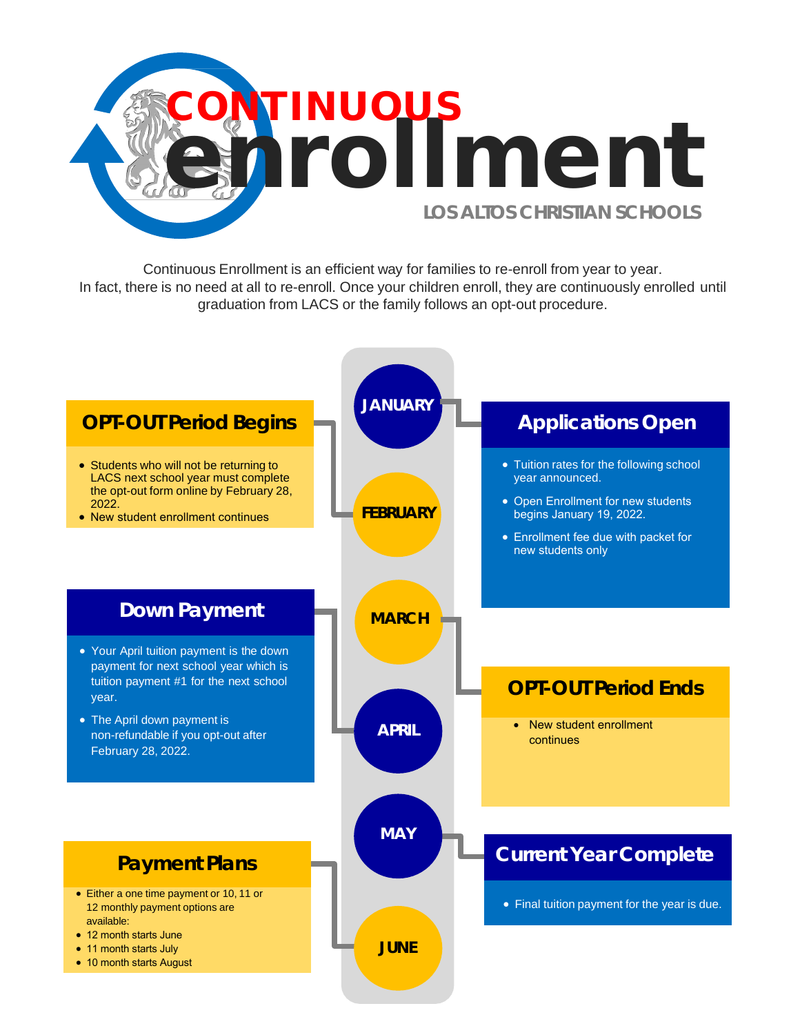

Continuous Enrollment is an efficient way for families to re-enroll from year to year. In fact, there is no need at all to re-enroll. Once your children enroll, they are continuously enrolled until graduation from LACS or the family follows an opt-out procedure.

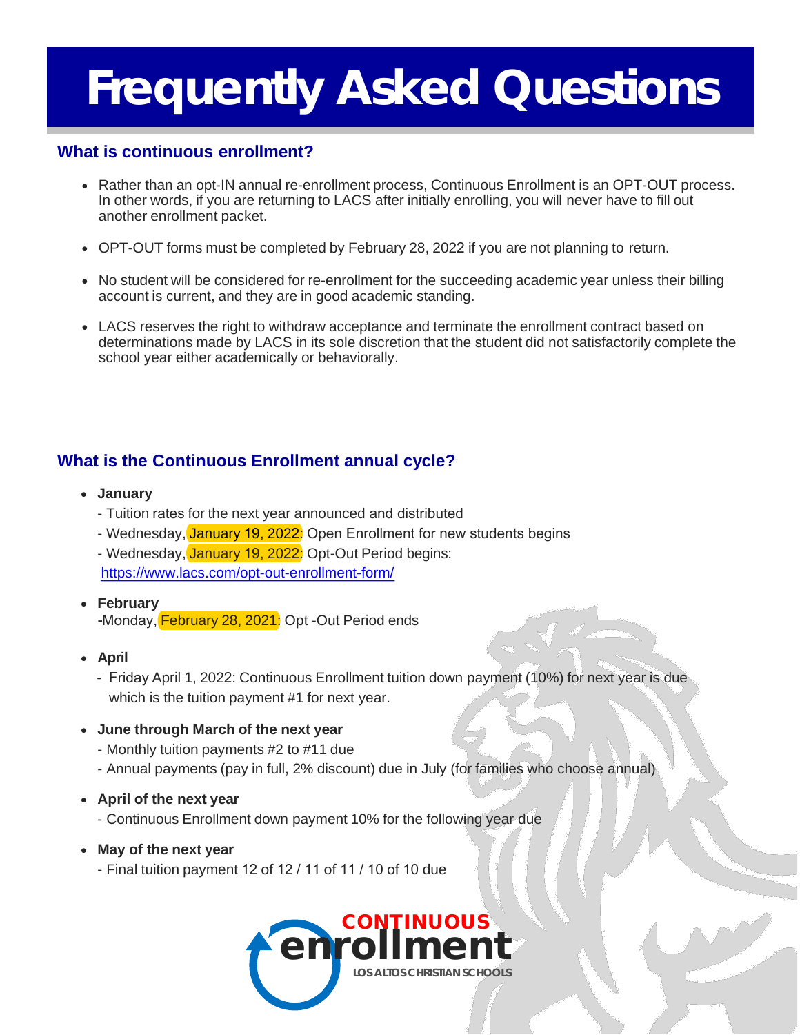## **What is continuous enrollment?**

- Rather than an opt-IN annual re-enrollment process, Continuous Enrollment is an OPT-OUT process. In other words, if you are returning to LACS after initially enrolling, you will never have to fill out another enrollment packet.
- OPT-OUT forms must be completed by February 28, 2022 if you are not planning to return.
- No student will be considered for re-enrollment for the succeeding academic year unless their billing account is current, and they are in good academic standing.
- LACS reserves the right to withdraw acceptance and terminate the enrollment contract based on determinations made by LACS in its sole discretion that the student did not satisfactorily complete the school year either academically or behaviorally.

## **What is the Continuous Enrollment annual cycle?**

- **January**
	- Tuition rates for the next year announced and distributed
	- Wednesday, January 19, 2022: Open Enrollment for new students begins
	- Wednesday, January 19, 2022: Opt-Out Period begins: <https://www.lacs.com/opt-out-enrollment-form/>
- **February -**Monday, February 28, 2021: Opt -Out Period ends
- **April**
	- Friday April 1, 2022: Continuous Enrollment tuition down payment (10%) for next year is due which is the tuition payment #1 for next year.

#### • **June through March of the next year**

- Monthly tuition payments #2 to #11 due
- Annual payments (pay in full, 2% discount) due in July (for families who choose annual)
- **April of the next year**
	- Continuous Enrollment down payment 10% for the following year due
- **May of the next year**
	- Final tuition payment 12 of 12 / 11 of 11 / 10 of 10 due

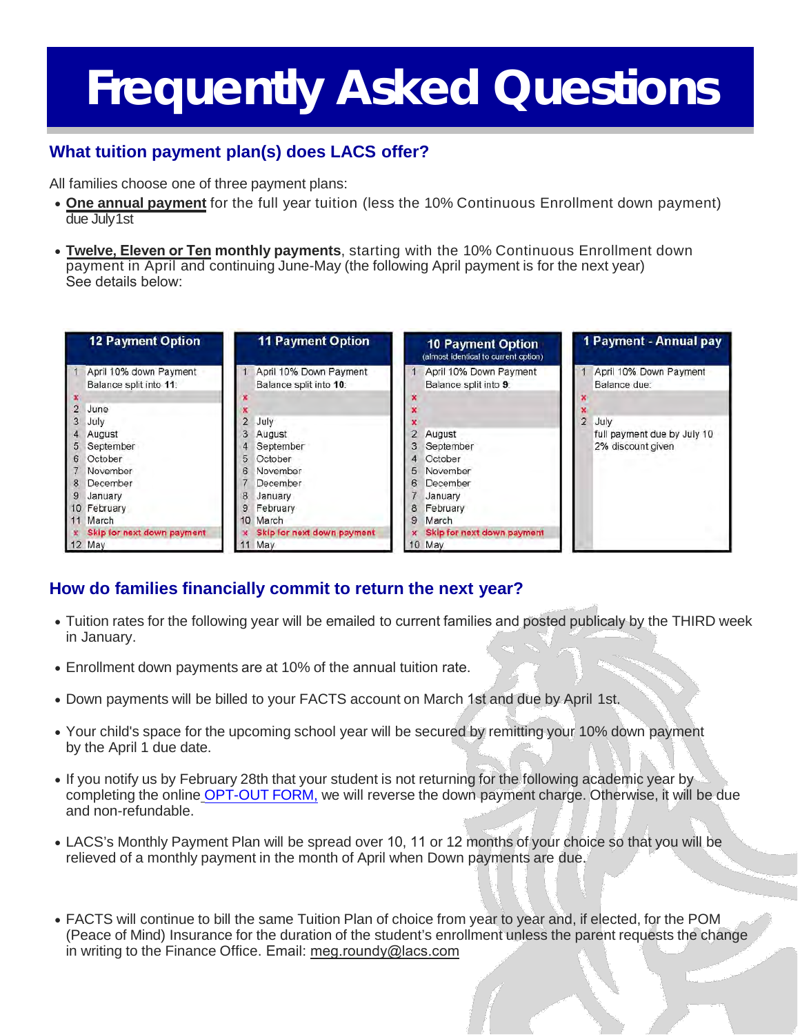## **What tuition payment plan(s) does LACS offer?**

All families choose one of three payment plans:

- **One annual payment** for the full year tuition (less the 10% Continuous Enrollment down payment) due July1st
- **Twelve, Eleven or Ten monthly payments**, starting with the 10% Continuous Enrollment down payment in April and continuing June-May (the following April payment is for the next year) See details below:

| <b>12 Payment Option</b>                         | <b>11 Payment Option</b>                         | <b>10 Payment Option</b><br>(almost identical to current option) | 1 Payment - Annual pay                                         |
|--------------------------------------------------|--------------------------------------------------|------------------------------------------------------------------|----------------------------------------------------------------|
| April 10% down Payment<br>Balance split into 11: | April 10% Down Payment<br>Balance split into 10: | April 10% Down Payment<br>Balance split into 9:                  | April 10% Down Payment<br>Balance due:                         |
| June                                             |                                                  |                                                                  |                                                                |
| July<br>August                                   | $\overline{2}$<br>July<br>August                 | August                                                           | July<br>2.<br>full payment due by July 10<br>2% discount given |
| September<br>October<br>6                        | September<br>5<br>October                        | September<br>3.<br>October<br>4                                  |                                                                |
| November<br>December<br>8                        | November<br>6<br>December                        | November<br>5.<br>December<br>6                                  |                                                                |
| 9<br>January<br>10 February<br>March             | January<br>8<br>February<br>9<br>March<br>10     | January<br>February<br>8<br>March<br>9                           |                                                                |
| Skip for next down payment<br>$12$ May           | Skip for next down payment<br>May                | Skip for next down payment<br>10 May                             |                                                                |

## **How do families financially commit to return the next year?**

- Tuition rates for the following year will be emailed to current families and posted publicaly by the THIRD week in January.
- Enrollment down payments are at 10% of the annual tuition rate.
- Down payments will be billed to your FACTS account on March 1st and due by April 1st.
- Your child's space for the upcoming school year will be secured by remitting your 10% down payment by the April 1 due date.
- If you notify us by February 28th that your student is not returning for the following academic year by completing the online [OPT-OUT](https://canterburyfortmyers.myschoolapp.com/page/opt-out-form?siteId=1115&pending=true&cached=false) FORM, we will reverse the down payment charge. Otherwise, it will be due and non-refundable.
- LACS's Monthly Payment Plan will be spread over 10, 11 or 12 months of your choice so that you will be relieved of a monthly payment in the month of April when Down payments are due.
- FACTS will continue to bill the same Tuition Plan of choice from year to year and, if elected, for the POM (Peace of Mind) Insurance for the duration of the student's enrollment unless the parent requests the change in writing to the Finance Office. Email: meg.roundy@lacs.com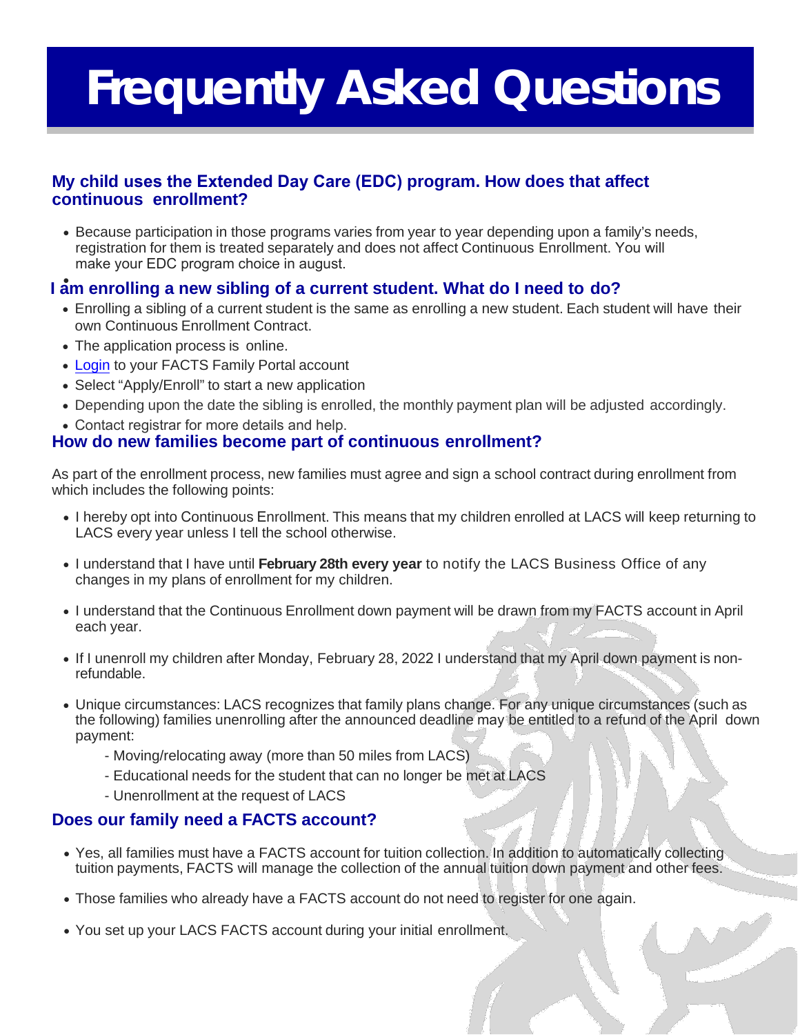## **My child uses the Extended Day Care (EDC) program. How does that affect continuous enrollment?**

• Because participation in those programs varies from year to year depending upon a family's needs, registration for them is treated separately and does not affect Continuous Enrollment. You will make your EDC program choice in august.

## • **I am enrolling a new sibling of a current student. What do I need to do?**

- Enrolling a sibling of a current student is the same as enrolling a new student. Each student will have their own Continuous Enrollment Contract.
- The application process is online.
- [Login t](https://wca-il.client.renweb.com/pwr/)o your FACTS Family Portal account
- Select "Apply/Enroll" to start a new application
- Depending upon the date the sibling is enrolled, the monthly payment plan will be adjusted accordingly.
- Contact registrar for more details and help.

## **How do new families become part of continuous enrollment?**

As part of the enrollment process, new families must agree and sign a school contract during enrollment from which includes the following points:

- I hereby opt into Continuous Enrollment. This means that my children enrolled at LACS will keep returning to LACS every year unless I tell the school otherwise.
- I understand that I have until **February 28th every year** to notify the LACS Business Office of any changes in my plans of enrollment for my children.
- I understand that the Continuous Enrollment down payment will be drawn from my FACTS account in April each year.
- If I unenroll my children after Monday, February 28, 2022 I understand that my April down payment is nonrefundable.
- Unique circumstances: LACS recognizes that family plans change. For any unique circumstances (such as the following) families unenrolling after the announced deadline may be entitled to a refund of the April down payment:
	- Moving/relocating away (more than 50 miles from LACS)
	- Educational needs for the student that can no longer be met at LACS
	- Unenrollment at the request of LACS

## **Does our family need a FACTS account?**

- Yes, all families must have a FACTS account for tuition collection. In addition to automatically collecting tuition payments, FACTS will manage the collection of the annual tuition down payment and other fees.
- Those families who already have a FACTS account do not need to register for one again.
- You set up your LACS FACTS account during your initial enrollment.